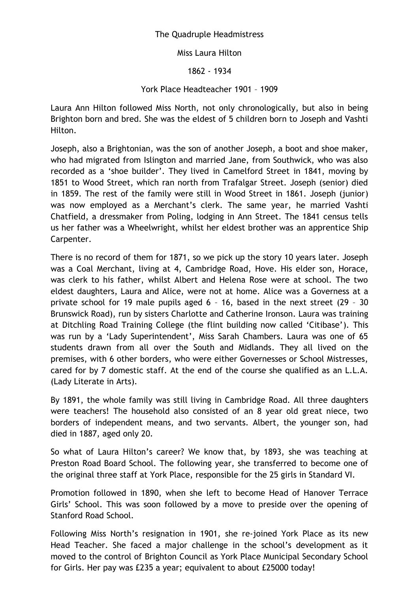## The Quadruple Headmistress

Miss Laura Hilton

1862 - 1934

## York Place Headteacher 1901 – 1909

Laura Ann Hilton followed Miss North, not only chronologically, but also in being Brighton born and bred. She was the eldest of 5 children born to Joseph and Vashti Hilton.

Joseph, also a Brightonian, was the son of another Joseph, a boot and shoe maker, who had migrated from Islington and married Jane, from Southwick, who was also recorded as a 'shoe builder'. They lived in Camelford Street in 1841, moving by 1851 to Wood Street, which ran north from Trafalgar Street. Joseph (senior) died in 1859. The rest of the family were still in Wood Street in 1861. Joseph (junior) was now employed as a Merchant's clerk. The same year, he married Vashti Chatfield, a dressmaker from Poling, lodging in Ann Street. The 1841 census tells us her father was a Wheelwright, whilst her eldest brother was an apprentice Ship Carpenter.

There is no record of them for 1871, so we pick up the story 10 years later. Joseph was a Coal Merchant, living at 4, Cambridge Road, Hove. His elder son, Horace, was clerk to his father, whilst Albert and Helena Rose were at school. The two eldest daughters, Laura and Alice, were not at home. Alice was a Governess at a private school for 19 male pupils aged 6 – 16, based in the next street (29 – 30 Brunswick Road), run by sisters Charlotte and Catherine Ironson. Laura was training at Ditchling Road Training College (the flint building now called 'Citibase'). This was run by a 'Lady Superintendent', Miss Sarah Chambers. Laura was one of 65 students drawn from all over the South and Midlands. They all lived on the premises, with 6 other borders, who were either Governesses or School Mistresses, cared for by 7 domestic staff. At the end of the course she qualified as an L.L.A. (Lady Literate in Arts).

By 1891, the whole family was still living in Cambridge Road. All three daughters were teachers! The household also consisted of an 8 year old great niece, two borders of independent means, and two servants. Albert, the younger son, had died in 1887, aged only 20.

So what of Laura Hilton's career? We know that, by 1893, she was teaching at Preston Road Board School. The following year, she transferred to become one of the original three staff at York Place, responsible for the 25 girls in Standard VI.

Promotion followed in 1890, when she left to become Head of Hanover Terrace Girls' School. This was soon followed by a move to preside over the opening of Stanford Road School.

Following Miss North's resignation in 1901, she re-joined York Place as its new Head Teacher. She faced a major challenge in the school's development as it moved to the control of Brighton Council as York Place Municipal Secondary School for Girls. Her pay was £235 a year; equivalent to about £25000 today!